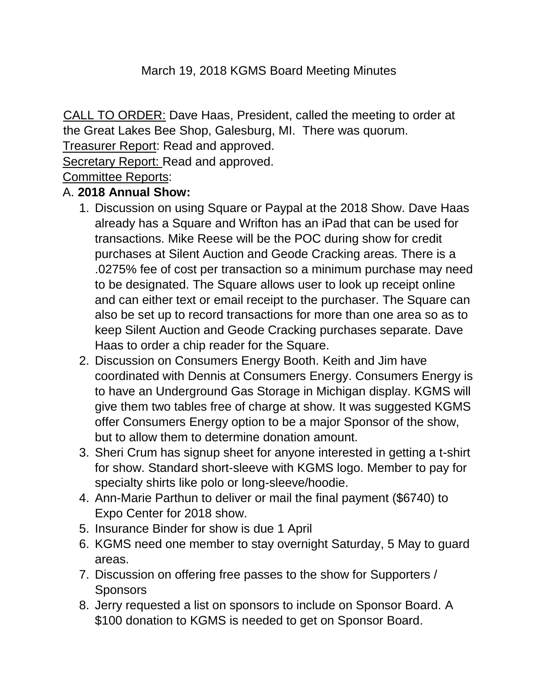#### March 19, 2018 KGMS Board Meeting Minutes

CALL TO ORDER: Dave Haas, President, called the meeting to order at the Great Lakes Bee Shop, Galesburg, MI. There was quorum.

Treasurer Report: Read and approved.

Secretary Report: Read and approved.

Committee Reports:

#### A. **2018 Annual Show:**

- 1. Discussion on using Square or Paypal at the 2018 Show. Dave Haas already has a Square and Wrifton has an iPad that can be used for transactions. Mike Reese will be the POC during show for credit purchases at Silent Auction and Geode Cracking areas. There is a .0275% fee of cost per transaction so a minimum purchase may need to be designated. The Square allows user to look up receipt online and can either text or email receipt to the purchaser. The Square can also be set up to record transactions for more than one area so as to keep Silent Auction and Geode Cracking purchases separate. Dave Haas to order a chip reader for the Square.
- 2. Discussion on Consumers Energy Booth. Keith and Jim have coordinated with Dennis at Consumers Energy. Consumers Energy is to have an Underground Gas Storage in Michigan display. KGMS will give them two tables free of charge at show. It was suggested KGMS offer Consumers Energy option to be a major Sponsor of the show, but to allow them to determine donation amount.
- 3. Sheri Crum has signup sheet for anyone interested in getting a t-shirt for show. Standard short-sleeve with KGMS logo. Member to pay for specialty shirts like polo or long-sleeve/hoodie.
- 4. Ann-Marie Parthun to deliver or mail the final payment (\$6740) to Expo Center for 2018 show.
- 5. Insurance Binder for show is due 1 April
- 6. KGMS need one member to stay overnight Saturday, 5 May to guard areas.
- 7. Discussion on offering free passes to the show for Supporters / **Sponsors**
- 8. Jerry requested a list on sponsors to include on Sponsor Board. A \$100 donation to KGMS is needed to get on Sponsor Board.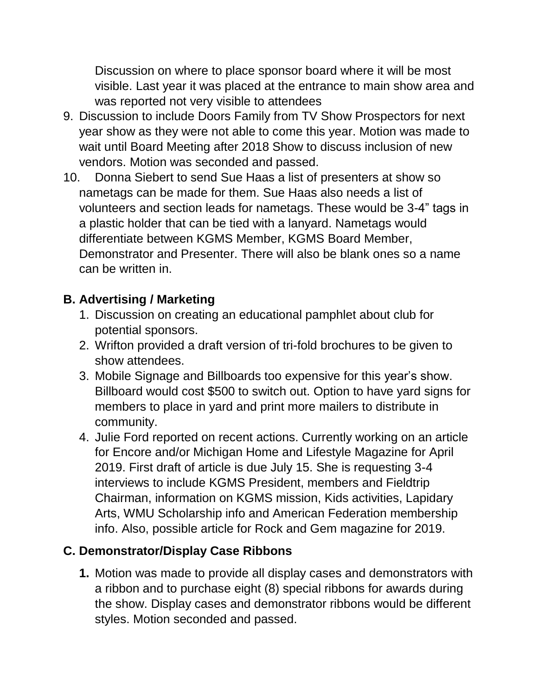Discussion on where to place sponsor board where it will be most visible. Last year it was placed at the entrance to main show area and was reported not very visible to attendees

- 9. Discussion to include Doors Family from TV Show Prospectors for next year show as they were not able to come this year. Motion was made to wait until Board Meeting after 2018 Show to discuss inclusion of new vendors. Motion was seconded and passed.
- 10. Donna Siebert to send Sue Haas a list of presenters at show so nametags can be made for them. Sue Haas also needs a list of volunteers and section leads for nametags. These would be 3-4" tags in a plastic holder that can be tied with a lanyard. Nametags would differentiate between KGMS Member, KGMS Board Member, Demonstrator and Presenter. There will also be blank ones so a name can be written in.

# **B. Advertising / Marketing**

- 1. Discussion on creating an educational pamphlet about club for potential sponsors.
- 2. Wrifton provided a draft version of tri-fold brochures to be given to show attendees.
- 3. Mobile Signage and Billboards too expensive for this year's show. Billboard would cost \$500 to switch out. Option to have yard signs for members to place in yard and print more mailers to distribute in community.
- 4. Julie Ford reported on recent actions. Currently working on an article for Encore and/or Michigan Home and Lifestyle Magazine for April 2019. First draft of article is due July 15. She is requesting 3-4 interviews to include KGMS President, members and Fieldtrip Chairman, information on KGMS mission, Kids activities, Lapidary Arts, WMU Scholarship info and American Federation membership info. Also, possible article for Rock and Gem magazine for 2019.

# **C. Demonstrator/Display Case Ribbons**

**1.** Motion was made to provide all display cases and demonstrators with a ribbon and to purchase eight (8) special ribbons for awards during the show. Display cases and demonstrator ribbons would be different styles. Motion seconded and passed.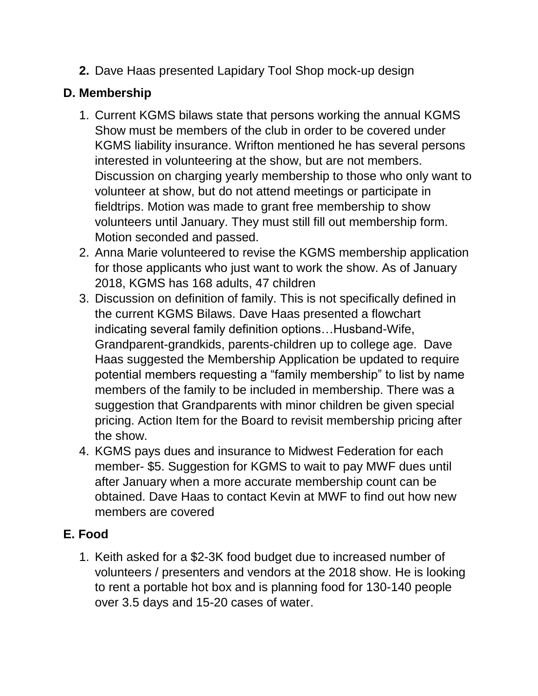**2.** Dave Haas presented Lapidary Tool Shop mock-up design

# **D. Membership**

- 1. Current KGMS bilaws state that persons working the annual KGMS Show must be members of the club in order to be covered under KGMS liability insurance. Wrifton mentioned he has several persons interested in volunteering at the show, but are not members. Discussion on charging yearly membership to those who only want to volunteer at show, but do not attend meetings or participate in fieldtrips. Motion was made to grant free membership to show volunteers until January. They must still fill out membership form. Motion seconded and passed.
- 2. Anna Marie volunteered to revise the KGMS membership application for those applicants who just want to work the show. As of January 2018, KGMS has 168 adults, 47 children
- 3. Discussion on definition of family. This is not specifically defined in the current KGMS Bilaws. Dave Haas presented a flowchart indicating several family definition options…Husband-Wife, Grandparent-grandkids, parents-children up to college age. Dave Haas suggested the Membership Application be updated to require potential members requesting a "family membership" to list by name members of the family to be included in membership. There was a suggestion that Grandparents with minor children be given special pricing. Action Item for the Board to revisit membership pricing after the show.
- 4. KGMS pays dues and insurance to Midwest Federation for each member- \$5. Suggestion for KGMS to wait to pay MWF dues until after January when a more accurate membership count can be obtained. Dave Haas to contact Kevin at MWF to find out how new members are covered

# **E. Food**

1. Keith asked for a \$2-3K food budget due to increased number of volunteers / presenters and vendors at the 2018 show. He is looking to rent a portable hot box and is planning food for 130-140 people over 3.5 days and 15-20 cases of water.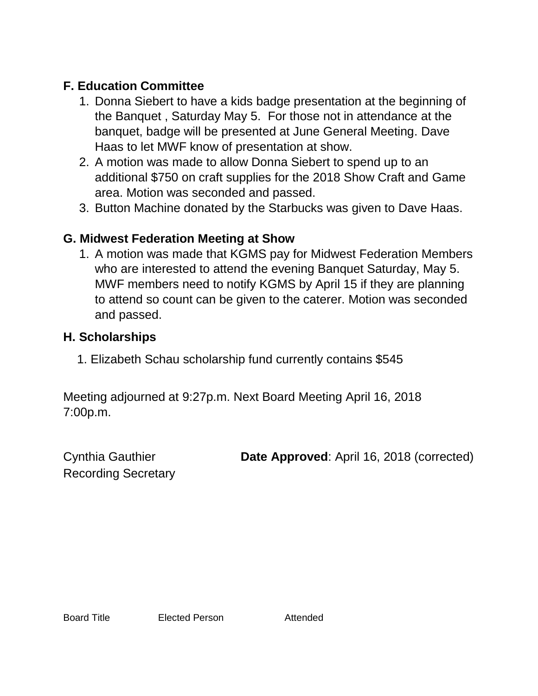# **F. Education Committee**

- 1. Donna Siebert to have a kids badge presentation at the beginning of the Banquet , Saturday May 5. For those not in attendance at the banquet, badge will be presented at June General Meeting. Dave Haas to let MWF know of presentation at show.
- 2. A motion was made to allow Donna Siebert to spend up to an additional \$750 on craft supplies for the 2018 Show Craft and Game area. Motion was seconded and passed.
- 3. Button Machine donated by the Starbucks was given to Dave Haas.

#### **G. Midwest Federation Meeting at Show**

1. A motion was made that KGMS pay for Midwest Federation Members who are interested to attend the evening Banquet Saturday, May 5. MWF members need to notify KGMS by April 15 if they are planning to attend so count can be given to the caterer. Motion was seconded and passed.

#### **H. Scholarships**

1. Elizabeth Schau scholarship fund currently contains \$545

Meeting adjourned at 9:27p.m. Next Board Meeting April 16, 2018 7:00p.m.

Recording Secretary

Cynthia Gauthier **Date Approved**: April 16, 2018 (corrected)

Board Title Elected Person Attended